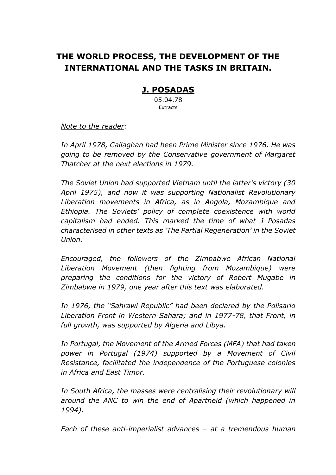# **THE WORLD PROCESS, THE DEVELOPMENT OF THE INTERNATIONAL AND THE TASKS IN BRITAIN.**

## **J. POSADAS**

05.04.78 **Extracts** 

*Note to the reader:* 

*In April 1978, Callaghan had been Prime Minister since 1976. He was going to be removed by the Conservative government of Margaret Thatcher at the next elections in 1979.* 

*The Soviet Union had supported Vietnam until the latter's victory (30 April 1975), and now it was supporting Nationalist Revolutionary Liberation movements in Africa, as in Angola, Mozambique and Ethiopia. The Soviets' policy of complete coexistence with world capitalism had ended. This marked the time of what J Posadas characterised in other texts as 'The Partial Regeneration' in the Soviet Union.*

*Encouraged, the followers of the Zimbabwe African National Liberation Movement (then fighting from Mozambique) were preparing the conditions for the victory of Robert Mugabe in Zimbabwe in 1979, one year after this text was elaborated.* 

*In 1976, the "Sahrawi Republic" had been declared by the Polisario Liberation Front in Western Sahara; and in 1977-78, that Front, in full growth, was supported by Algeria and Libya.*

*In Portugal, the Movement of the Armed Forces (MFA) that had taken power in Portugal (1974) supported by a Movement of Civil Resistance, facilitated the independence of the Portuguese colonies in Africa and East Timor.*

*In South Africa, the masses were centralising their revolutionary will around the ANC to win the end of Apartheid (which happened in 1994).*

*Each of these anti-imperialist advances – at a tremendous human*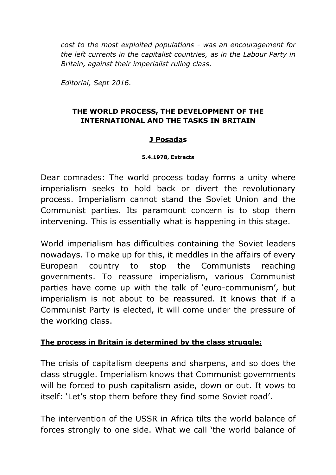*cost to the most exploited populations - was an encouragement for the left currents in the capitalist countries, as in the Labour Party in Britain, against their imperialist ruling class.* 

*Editorial, Sept 2016.*

#### **THE WORLD PROCESS, THE DEVELOPMENT OF THE INTERNATIONAL AND THE TASKS IN BRITAIN**

#### **J Posadas**

#### **5.4.1978, Extracts**

Dear comrades: The world process today forms a unity where imperialism seeks to hold back or divert the revolutionary process. Imperialism cannot stand the Soviet Union and the Communist parties. Its paramount concern is to stop them intervening. This is essentially what is happening in this stage.

World imperialism has difficulties containing the Soviet leaders nowadays. To make up for this, it meddles in the affairs of every European country to stop the Communists reaching governments. To reassure imperialism, various Communist parties have come up with the talk of 'euro-communism', but imperialism is not about to be reassured. It knows that if a Communist Party is elected, it will come under the pressure of the working class.

#### **The process in Britain is determined by the class struggle:**

The crisis of capitalism deepens and sharpens, and so does the class struggle. Imperialism knows that Communist governments will be forced to push capitalism aside, down or out. It vows to itself: 'Let's stop them before they find some Soviet road'.

The intervention of the USSR in Africa tilts the world balance of forces strongly to one side. What we call 'the world balance of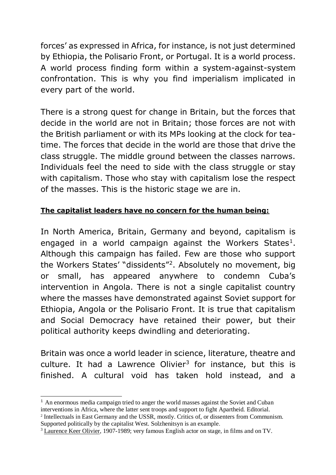forces' as expressed in Africa, for instance, is not just determined by Ethiopia, the Polisario Front, or Portugal. It is a world process. A world process finding form within a system-against-system confrontation. This is why you find imperialism implicated in every part of the world.

There is a strong quest for change in Britain, but the forces that decide in the world are not in Britain; those forces are not with the British parliament or with its MPs looking at the clock for teatime. The forces that decide in the world are those that drive the class struggle. The middle ground between the classes narrows. Individuals feel the need to side with the class struggle or stay with capitalism. Those who stay with capitalism lose the respect of the masses. This is the historic stage we are in.

## **The capitalist leaders have no concern for the human being:**

In North America, Britain, Germany and beyond, capitalism is engaged in a world campaign against the Workers States<sup>1</sup>. Although this campaign has failed. Few are those who support the Workers States' "dissidents"<sup>2</sup> . Absolutely no movement, big or small, has appeared anywhere to condemn Cuba's intervention in Angola. There is not a single capitalist country where the masses have demonstrated against Soviet support for Ethiopia, Angola or the Polisario Front. It is true that capitalism and Social Democracy have retained their power, but their political authority keeps dwindling and deteriorating.

Britain was once a world leader in science, literature, theatre and culture. It had a Lawrence Olivier<sup>3</sup> for instance, but this is finished. A cultural void has taken hold instead, and a

 $\overline{a}$ 

<sup>&</sup>lt;sup>1</sup> An enormous media campaign tried to anger the world masses against the Soviet and Cuban interventions in Africa, where the latter sent troops and support to fight Apartheid. Editorial.

<sup>2</sup> Intellectuals in East Germany and the USSR, mostly. Critics of, or dissenters from Communism. Supported politically by the capitalist West. Solzhenitsyn is an example.

<sup>&</sup>lt;sup>3</sup> Laurence Keer Olivier, 1907-1989; very famous English actor on stage, in films and on TV.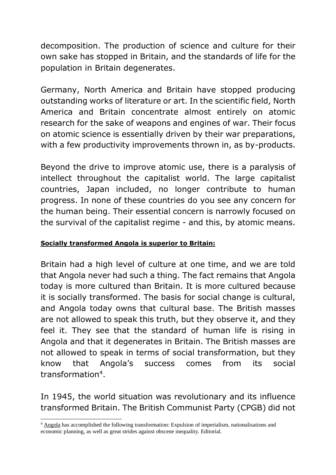decomposition. The production of science and culture for their own sake has stopped in Britain, and the standards of life for the population in Britain degenerates.

Germany, North America and Britain have stopped producing outstanding works of literature or art. In the scientific field, North America and Britain concentrate almost entirely on atomic research for the sake of weapons and engines of war. Their focus on atomic science is essentially driven by their war preparations, with a few productivity improvements thrown in, as by-products.

Beyond the drive to improve atomic use, there is a paralysis of intellect throughout the capitalist world. The large capitalist countries, Japan included, no longer contribute to human progress. In none of these countries do you see any concern for the human being. Their essential concern is narrowly focused on the survival of the capitalist regime - and this, by atomic means.

#### **Socially transformed Angola is superior to Britain:**

Britain had a high level of culture at one time, and we are told that Angola never had such a thing. The fact remains that Angola today is more cultured than Britain. It is more cultured because it is socially transformed. The basis for social change is cultural, and Angola today owns that cultural base. The British masses are not allowed to speak this truth, but they observe it, and they feel it. They see that the standard of human life is rising in Angola and that it degenerates in Britain. The British masses are not allowed to speak in terms of social transformation, but they know that Angola's success comes from its social transformation<sup>4</sup>.

In 1945, the world situation was revolutionary and its influence transformed Britain. The British Communist Party (CPGB) did not

<sup>&</sup>lt;sup>4</sup> Angola has accomplished the following transformation: Expulsion of imperialism, nationalisations and economic planning, as well as great strides against obscene inequality. Editorial.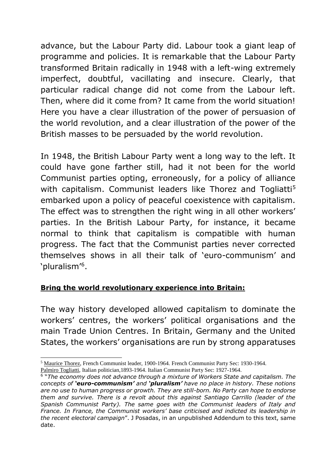advance, but the Labour Party did. Labour took a giant leap of programme and policies. It is remarkable that the Labour Party transformed Britain radically in 1948 with a left-wing extremely imperfect, doubtful, vacillating and insecure. Clearly, that particular radical change did not come from the Labour left. Then, where did it come from? It came from the world situation! Here you have a clear illustration of the power of persuasion of the world revolution, and a clear illustration of the power of the British masses to be persuaded by the world revolution.

In 1948, the British Labour Party went a long way to the left. It could have gone farther still, had it not been for the world Communist parties opting, erroneously, for a policy of alliance with capitalism. Communist leaders like Thorez and Togliatti<sup>5</sup> embarked upon a policy of peaceful coexistence with capitalism. The effect was to strengthen the right wing in all other workers' parties. In the British Labour Party, for instance, it became normal to think that capitalism is compatible with human progress. The fact that the Communist parties never corrected themselves shows in all their talk of 'euro-communism' and 'pluralism'<sup>6</sup> .

#### **Bring the world revolutionary experience into Britain:**

The way history developed allowed capitalism to dominate the workers' centres, the workers' political organisations and the main Trade Union Centres. In Britain, Germany and the United States, the workers' organisations are run by strong apparatuses

<sup>5</sup> Maurice Thorez, French Communist leader, 1900-1964. French Communist Party Sec: 1930-1964.

Palmiro Togliatti, Italian politician,1893-1964. Italian Communist Party Sec: 1927-1964.

<sup>6</sup> "*The economy does not advance through a mixture of Workers State and capitalism. The concepts of 'euro-communism' and 'pluralism' have no place in history. These notions are no use to human progress or growth. They are still-born. No Party can hope to endorse them and survive. There is a revolt about this against Santiago Carrillo (leader of the Spanish Communist Party). The same goes with the Communist leaders of Italy and France. In France, the Communist workers' base criticised and indicted its leadership in the recent electoral campaign*". J Posadas, in an unpublished Addendum to this text, same date.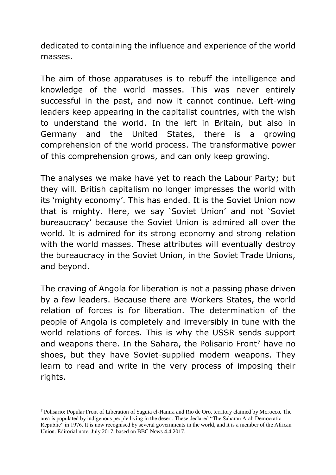dedicated to containing the influence and experience of the world masses.

The aim of those apparatuses is to rebuff the intelligence and knowledge of the world masses. This was never entirely successful in the past, and now it cannot continue. Left-wing leaders keep appearing in the capitalist countries, with the wish to understand the world. In the left in Britain, but also in Germany and the United States, there is a growing comprehension of the world process. The transformative power of this comprehension grows, and can only keep growing.

The analyses we make have yet to reach the Labour Party; but they will. British capitalism no longer impresses the world with its 'mighty economy'. This has ended. It is the Soviet Union now that is mighty. Here, we say 'Soviet Union' and not 'Soviet bureaucracy' because the Soviet Union is admired all over the world. It is admired for its strong economy and strong relation with the world masses. These attributes will eventually destroy the bureaucracy in the Soviet Union, in the Soviet Trade Unions, and beyond.

The craving of Angola for liberation is not a passing phase driven by a few leaders. Because there are Workers States, the world relation of forces is for liberation. The determination of the people of Angola is completely and irreversibly in tune with the world relations of forces. This is why the USSR sends support and weapons there. In the Sahara, the Polisario Front<sup>7</sup> have no shoes, but they have Soviet-supplied modern weapons. They learn to read and write in the very process of imposing their rights.

<sup>7</sup> Polisario: Popular Front of Liberation of Saguia el-Hamra and Rio de Oro, territory claimed by Morocco. The area is populated by indigenous people living in the desert. These declared "The Saharan Arab Democratic Republic" in 1976. It is now recognised by several governments in the world, and it is a member of the African Union. Editorial note, July 2017, based on BBC News 4.4.2017.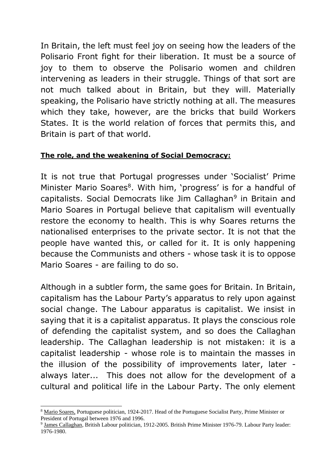In Britain, the left must feel joy on seeing how the leaders of the Polisario Front fight for their liberation. It must be a source of joy to them to observe the Polisario women and children intervening as leaders in their struggle. Things of that sort are not much talked about in Britain, but they will. Materially speaking, the Polisario have strictly nothing at all. The measures which they take, however, are the bricks that build Workers States. It is the world relation of forces that permits this, and Britain is part of that world.

### **The role, and the weakening of Social Democracy:**

It is not true that Portugal progresses under 'Socialist' Prime Minister Mario Soares<sup>8</sup>. With him, 'progress' is for a handful of capitalists. Social Democrats like Jim Callaghan<sup>9</sup> in Britain and Mario Soares in Portugal believe that capitalism will eventually restore the economy to health. This is why Soares returns the nationalised enterprises to the private sector. It is not that the people have wanted this, or called for it. It is only happening because the Communists and others - whose task it is to oppose Mario Soares - are failing to do so.

Although in a subtler form, the same goes for Britain. In Britain, capitalism has the Labour Party's apparatus to rely upon against social change. The Labour apparatus is capitalist. We insist in saying that it is a capitalist apparatus. It plays the conscious role of defending the capitalist system, and so does the Callaghan leadership. The Callaghan leadership is not mistaken: it is a capitalist leadership - whose role is to maintain the masses in the illusion of the possibility of improvements later, later always later... This does not allow for the development of a cultural and political life in the Labour Party. The only element

<sup>8</sup> Mario Soares, Portuguese politician, 1924-2017. Head of the Portuguese Socialist Party, Prime Minister or President of Portugal between 1976 and 1996.

<sup>&</sup>lt;sup>9</sup> James Callaghan, British Labour politician, 1912-2005. British Prime Minister 1976-79. Labour Party leader: 1976-1980.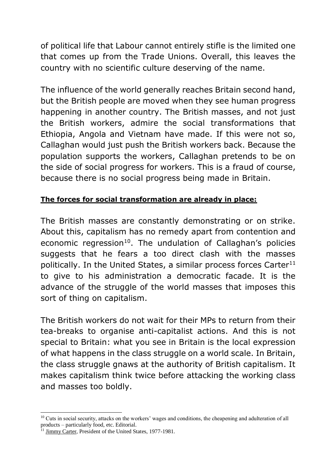of political life that Labour cannot entirely stifle is the limited one that comes up from the Trade Unions. Overall, this leaves the country with no scientific culture deserving of the name.

The influence of the world generally reaches Britain second hand, but the British people are moved when they see human progress happening in another country. The British masses, and not just the British workers, admire the social transformations that Ethiopia, Angola and Vietnam have made. If this were not so, Callaghan would just push the British workers back. Because the population supports the workers, Callaghan pretends to be on the side of social progress for workers. This is a fraud of course, because there is no social progress being made in Britain.

### **The forces for social transformation are already in place:**

The British masses are constantly demonstrating or on strike. About this, capitalism has no remedy apart from contention and economic regression<sup>10</sup>. The undulation of Callaghan's policies suggests that he fears a too direct clash with the masses politically. In the United States, a similar process forces Carter $11$ to give to his administration a democratic facade. It is the advance of the struggle of the world masses that imposes this sort of thing on capitalism.

The British workers do not wait for their MPs to return from their tea-breaks to organise anti-capitalist actions. And this is not special to Britain: what you see in Britain is the local expression of what happens in the class struggle on a world scale. In Britain, the class struggle gnaws at the authority of British capitalism. It makes capitalism think twice before attacking the working class and masses too boldly.

 $\overline{a}$ 

<sup>&</sup>lt;sup>10</sup> Cuts in social security, attacks on the workers' wages and conditions, the cheapening and adulteration of all products – particularly food, etc. Editorial.

<sup>&</sup>lt;sup>11</sup> Jimmy Carter, President of the United States, 1977-1981.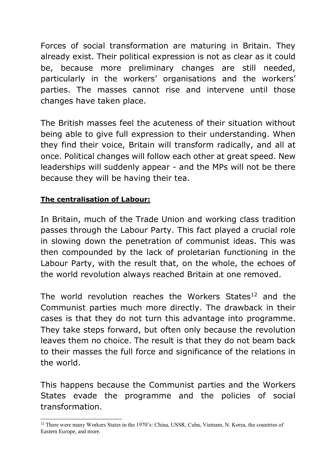Forces of social transformation are maturing in Britain. They already exist. Their political expression is not as clear as it could be, because more preliminary changes are still needed, particularly in the workers' organisations and the workers' parties. The masses cannot rise and intervene until those changes have taken place.

The British masses feel the acuteness of their situation without being able to give full expression to their understanding. When they find their voice, Britain will transform radically, and all at once. Political changes will follow each other at great speed. New leaderships will suddenly appear - and the MPs will not be there because they will be having their tea.

## **The centralisation of Labour:**

In Britain, much of the Trade Union and working class tradition passes through the Labour Party. This fact played a crucial role in slowing down the penetration of communist ideas. This was then compounded by the lack of proletarian functioning in the Labour Party, with the result that, on the whole, the echoes of the world revolution always reached Britain at one removed.

The world revolution reaches the Workers States<sup>12</sup> and the Communist parties much more directly. The drawback in their cases is that they do not turn this advantage into programme. They take steps forward, but often only because the revolution leaves them no choice. The result is that they do not beam back to their masses the full force and significance of the relations in the world.

This happens because the Communist parties and the Workers States evade the programme and the policies of social transformation.

<sup>-</sup><sup>12</sup> There were many Workers States in the 1970's: China, USSR, Cuba, Vietnam, N. Korea, the countries of Eastern Europe, and more.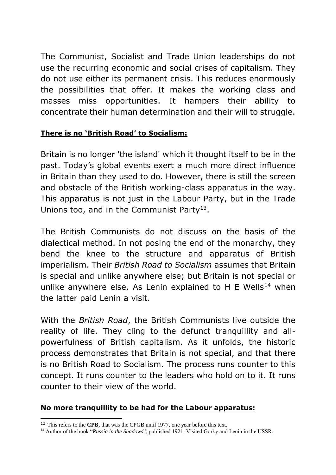The Communist, Socialist and Trade Union leaderships do not use the recurring economic and social crises of capitalism. They do not use either its permanent crisis. This reduces enormously the possibilities that offer. It makes the working class and masses miss opportunities. It hampers their ability to concentrate their human determination and their will to struggle.

### **There is no 'British Road' to Socialism:**

Britain is no longer 'the island' which it thought itself to be in the past. Today's global events exert a much more direct influence in Britain than they used to do. However, there is still the screen and obstacle of the British working-class apparatus in the way. This apparatus is not just in the Labour Party, but in the Trade Unions too, and in the Communist Party<sup>13</sup>.

The British Communists do not discuss on the basis of the dialectical method. In not posing the end of the monarchy, they bend the knee to the structure and apparatus of British imperialism. Their *British Road to Socialism* assumes that Britain is special and unlike anywhere else; but Britain is not special or unlike anywhere else. As Lenin explained to H E Wells<sup>14</sup> when the latter paid Lenin a visit.

With the *British Road*, the British Communists live outside the reality of life. They cling to the defunct tranquillity and allpowerfulness of British capitalism. As it unfolds, the historic process demonstrates that Britain is not special, and that there is no British Road to Socialism. The process runs counter to this concept. It runs counter to the leaders who hold on to it. It runs counter to their view of the world.

### **No more tranquillity to be had for the Labour apparatus:**

<sup>13</sup> This refers to the **CPB,** that was the CPGB until 1977, one year before this text.

<sup>&</sup>lt;sup>14</sup> Author of the book "*Russia in the Shadows*", published 1921. Visited Gorky and Lenin in the USSR.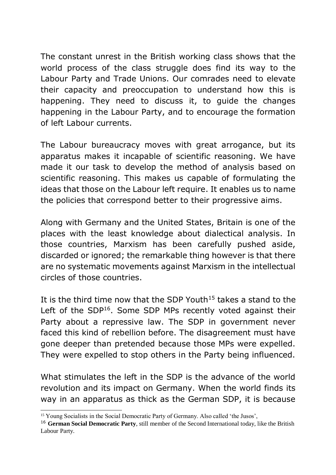The constant unrest in the British working class shows that the world process of the class struggle does find its way to the Labour Party and Trade Unions. Our comrades need to elevate their capacity and preoccupation to understand how this is happening. They need to discuss it, to guide the changes happening in the Labour Party, and to encourage the formation of left Labour currents.

The Labour bureaucracy moves with great arrogance, but its apparatus makes it incapable of scientific reasoning. We have made it our task to develop the method of analysis based on scientific reasoning. This makes us capable of formulating the ideas that those on the Labour left require. It enables us to name the policies that correspond better to their progressive aims.

Along with Germany and the United States, Britain is one of the places with the least knowledge about dialectical analysis. In those countries, Marxism has been carefully pushed aside, discarded or ignored; the remarkable thing however is that there are no systematic movements against Marxism in the intellectual circles of those countries.

It is the third time now that the SDP Youth<sup>15</sup> takes a stand to the Left of the SDP<sup>16</sup>. Some SDP MPs recently voted against their Party about a repressive law. The SDP in government never faced this kind of rebellion before. The disagreement must have gone deeper than pretended because those MPs were expelled. They were expelled to stop others in the Party being influenced.

What stimulates the left in the SDP is the advance of the world revolution and its impact on Germany. When the world finds its way in an apparatus as thick as the German SDP, it is because

<sup>&</sup>lt;sup>15</sup> Young Socialists in the Social Democratic Party of Germany. Also called 'the Jusos',

<sup>16</sup> **German Social Democratic Party**, still member of the Second International today, like the British Labour Party.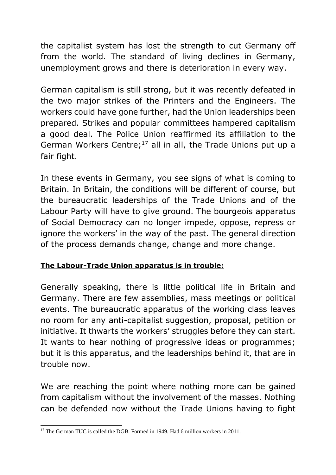the capitalist system has lost the strength to cut Germany off from the world. The standard of living declines in Germany, unemployment grows and there is deterioration in every way.

German capitalism is still strong, but it was recently defeated in the two major strikes of the Printers and the Engineers. The workers could have gone further, had the Union leaderships been prepared. Strikes and popular committees hampered capitalism a good deal. The Police Union reaffirmed its affiliation to the German Workers Centre; $17$  all in all, the Trade Unions put up a fair fight.

In these events in Germany, you see signs of what is coming to Britain. In Britain, the conditions will be different of course, but the bureaucratic leaderships of the Trade Unions and of the Labour Party will have to give ground. The bourgeois apparatus of Social Democracy can no longer impede, oppose, repress or ignore the workers' in the way of the past. The general direction of the process demands change, change and more change.

## **The Labour-Trade Union apparatus is in trouble:**

Generally speaking, there is little political life in Britain and Germany. There are few assemblies, mass meetings or political events. The bureaucratic apparatus of the working class leaves no room for any anti-capitalist suggestion, proposal, petition or initiative. It thwarts the workers' struggles before they can start. It wants to hear nothing of progressive ideas or programmes; but it is this apparatus, and the leaderships behind it, that are in trouble now.

We are reaching the point where nothing more can be gained from capitalism without the involvement of the masses. Nothing can be defended now without the Trade Unions having to fight

<sup>-</sup><sup>17</sup> The German TUC is called the DGB. Formed in 1949. Had 6 million workers in 2011.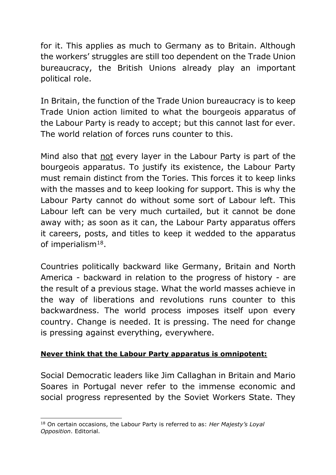for it. This applies as much to Germany as to Britain. Although the workers' struggles are still too dependent on the Trade Union bureaucracy, the British Unions already play an important political role.

In Britain, the function of the Trade Union bureaucracy is to keep Trade Union action limited to what the bourgeois apparatus of the Labour Party is ready to accept; but this cannot last for ever. The world relation of forces runs counter to this.

Mind also that not every layer in the Labour Party is part of the bourgeois apparatus. To justify its existence, the Labour Party must remain distinct from the Tories. This forces it to keep links with the masses and to keep looking for support. This is why the Labour Party cannot do without some sort of Labour left. This Labour left can be very much curtailed, but it cannot be done away with; as soon as it can, the Labour Party apparatus offers it careers, posts, and titles to keep it wedded to the apparatus of imperialism $^{18}$ .

Countries politically backward like Germany, Britain and North America - backward in relation to the progress of history - are the result of a previous stage. What the world masses achieve in the way of liberations and revolutions runs counter to this backwardness. The world process imposes itself upon every country. Change is needed. It is pressing. The need for change is pressing against everything, everywhere.

### **Never think that the Labour Party apparatus is omnipotent:**

Social Democratic leaders like Jim Callaghan in Britain and Mario Soares in Portugal never refer to the immense economic and social progress represented by the Soviet Workers State. They

<sup>-</sup><sup>18</sup> On certain occasions, the Labour Party is referred to as: *Her Majesty's Loyal Opposition*. Editorial.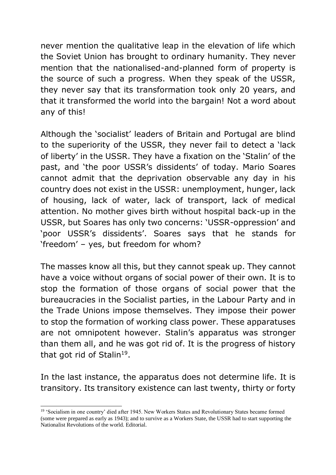never mention the qualitative leap in the elevation of life which the Soviet Union has brought to ordinary humanity. They never mention that the nationalised-and-planned form of property is the source of such a progress. When they speak of the USSR, they never say that its transformation took only 20 years, and that it transformed the world into the bargain! Not a word about any of this!

Although the 'socialist' leaders of Britain and Portugal are blind to the superiority of the USSR, they never fail to detect a 'lack of liberty' in the USSR. They have a fixation on the 'Stalin' of the past, and 'the poor USSR's dissidents' of today. Mario Soares cannot admit that the deprivation observable any day in his country does not exist in the USSR: unemployment, hunger, lack of housing, lack of water, lack of transport, lack of medical attention. No mother gives birth without hospital back-up in the USSR, but Soares has only two concerns: 'USSR-oppression' and 'poor USSR's dissidents'. Soares says that he stands for 'freedom' – yes, but freedom for whom?

The masses know all this, but they cannot speak up. They cannot have a voice without organs of social power of their own. It is to stop the formation of those organs of social power that the bureaucracies in the Socialist parties, in the Labour Party and in the Trade Unions impose themselves. They impose their power to stop the formation of working class power. These apparatuses are not omnipotent however. Stalin's apparatus was stronger than them all, and he was got rid of. It is the progress of history that got rid of Stalin<sup>19</sup>.

In the last instance, the apparatus does not determine life. It is transitory. Its transitory existence can last twenty, thirty or forty

<sup>19</sup> 'Socialism in one country' died after 1945. New Workers States and Revolutionary States became formed (some were prepared as early as 1943); and to survive as a Workers State, the USSR had to start supporting the Nationalist Revolutions of the world. Editorial.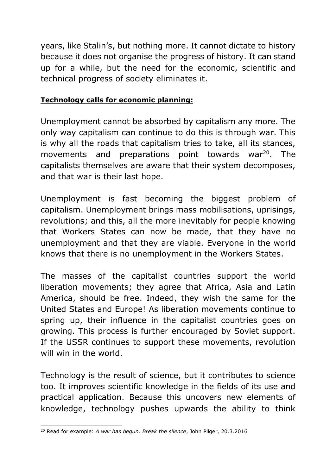years, like Stalin's, but nothing more. It cannot dictate to history because it does not organise the progress of history. It can stand up for a while, but the need for the economic, scientific and technical progress of society eliminates it.

#### **Technology calls for economic planning:**

Unemployment cannot be absorbed by capitalism any more. The only way capitalism can continue to do this is through war. This is why all the roads that capitalism tries to take, all its stances, movements and preparations point towards war<sup>20</sup>. The capitalists themselves are aware that their system decomposes, and that war is their last hope.

Unemployment is fast becoming the biggest problem of capitalism. Unemployment brings mass mobilisations, uprisings, revolutions; and this, all the more inevitably for people knowing that Workers States can now be made, that they have no unemployment and that they are viable. Everyone in the world knows that there is no unemployment in the Workers States.

The masses of the capitalist countries support the world liberation movements; they agree that Africa, Asia and Latin America, should be free. Indeed, they wish the same for the United States and Europe! As liberation movements continue to spring up, their influence in the capitalist countries goes on growing. This process is further encouraged by Soviet support. If the USSR continues to support these movements, revolution will win in the world.

Technology is the result of science, but it contributes to science too. It improves scientific knowledge in the fields of its use and practical application. Because this uncovers new elements of knowledge, technology pushes upwards the ability to think

<sup>-</sup><sup>20</sup> Read for example: *A war has begun. Break the silence*, John Pilger, 20.3.2016